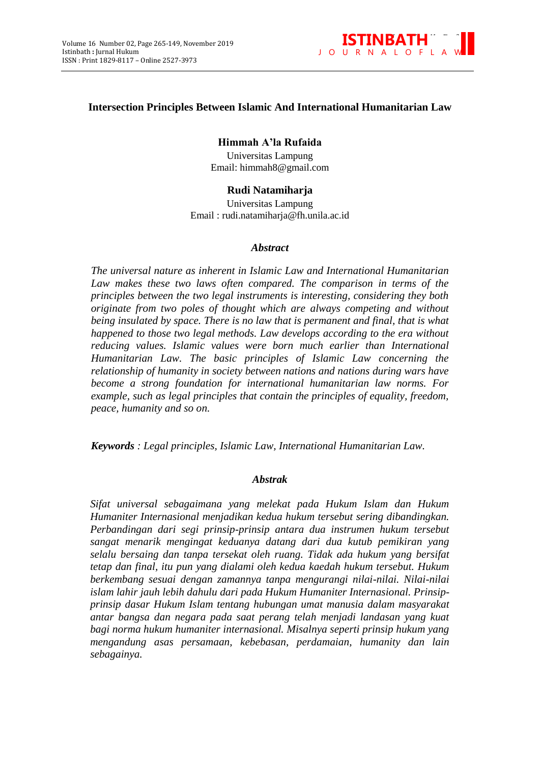

## **Intersection Principles Between Islamic And International Humanitarian Law**

**Himmah A'la Rufaida** Universitas Lampung Email: himmah8@gmail.com

# **Rudi Natamiharja**

Universitas Lampung Email : rudi.natamiharja@fh.unila.ac.id

#### *Abstract*

*The universal nature as inherent in Islamic Law and International Humanitarian*  Law makes these two laws often compared. The comparison in terms of the *principles between the two legal instruments is interesting, considering they both originate from two poles of thought which are always competing and without being insulated by space. There is no law that is permanent and final, that is what happened to those two legal methods. Law develops according to the era without reducing values. Islamic values were born much earlier than International Humanitarian Law. The basic principles of Islamic Law concerning the relationship of humanity in society between nations and nations during wars have become a strong foundation for international humanitarian law norms. For example, such as legal principles that contain the principles of equality, freedom, peace, humanity and so on.*

*Keywords : Legal principles, Islamic Law, International Humanitarian Law.*

#### *Abstrak*

*Sifat universal sebagaimana yang melekat pada Hukum Islam dan Hukum Humaniter Internasional menjadikan kedua hukum tersebut sering dibandingkan. Perbandingan dari segi prinsip-prinsip antara dua instrumen hukum tersebut sangat menarik mengingat keduanya datang dari dua kutub pemikiran yang selalu bersaing dan tanpa tersekat oleh ruang. Tidak ada hukum yang bersifat tetap dan final, itu pun yang dialami oleh kedua kaedah hukum tersebut. Hukum berkembang sesuai dengan zamannya tanpa mengurangi nilai-nilai. Nilai-nilai islam lahir jauh lebih dahulu dari pada Hukum Humaniter Internasional. Prinsipprinsip dasar Hukum Islam tentang hubungan umat manusia dalam masyarakat antar bangsa dan negara pada saat perang telah menjadi landasan yang kuat bagi norma hukum humaniter internasional. Misalnya seperti prinsip hukum yang mengandung asas persamaan, kebebasan, perdamaian, humanity dan lain sebagainya.*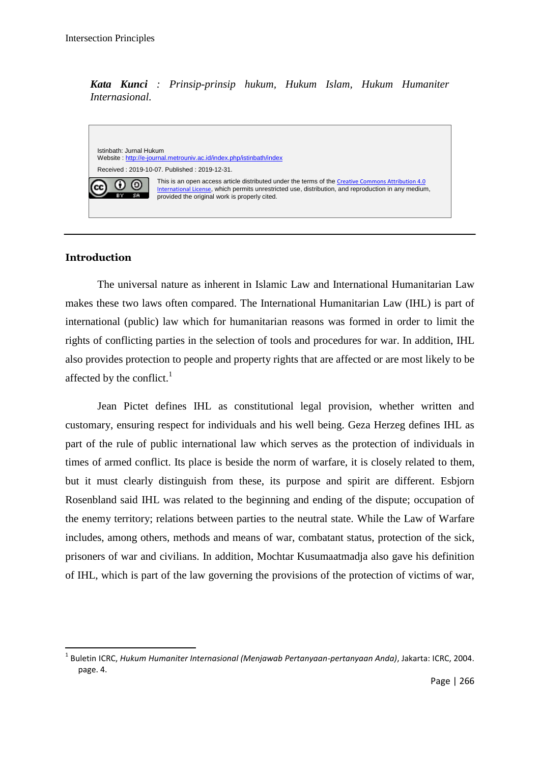*Kata Kunci : Prinsip-prinsip hukum, Hukum Islam, Hukum Humaniter Internasional.*

Istinbath: Jurnal Hukum Website [: http://e-journal.metrouniv.ac.id/index.php/istinbath/index](http://e-journal.metrouniv.ac.id/index.php/istinbath/index)  Received : 2019-10-07. Published : 2019-12-31. This is an open access article distributed under the terms of the [Creative Commons](http://creativecommons.org/licenses/by/4.0/) Attribution 4.0 റ ര [International License](http://creativecommons.org/licenses/by/4.0/), which permits unrestricted use, distribution, and reproduction in any medium, **BY ISB** provided the original work is properly cited.

# **Introduction**

**.** 

The universal nature as inherent in Islamic Law and International Humanitarian Law makes these two laws often compared. The International Humanitarian Law (IHL) is part of international (public) law which for humanitarian reasons was formed in order to limit the rights of conflicting parties in the selection of tools and procedures for war. In addition, IHL also provides protection to people and property rights that are affected or are most likely to be affected by the conflict. $<sup>1</sup>$ </sup>

Jean Pictet defines IHL as constitutional legal provision, whether written and customary, ensuring respect for individuals and his well being. Geza Herzeg defines IHL as part of the rule of public international law which serves as the protection of individuals in times of armed conflict. Its place is beside the norm of warfare, it is closely related to them, but it must clearly distinguish from these, its purpose and spirit are different. Esbjorn Rosenbland said IHL was related to the beginning and ending of the dispute; occupation of the enemy territory; relations between parties to the neutral state. While the Law of Warfare includes, among others, methods and means of war, combatant status, protection of the sick, prisoners of war and civilians. In addition, Mochtar Kusumaatmadja also gave his definition of IHL, which is part of the law governing the provisions of the protection of victims of war,

<sup>1</sup> Buletin ICRC, *Hukum Humaniter Internasional (Menjawab Pertanyaan-pertanyaan Anda)*, Jakarta: ICRC, 2004. page. 4.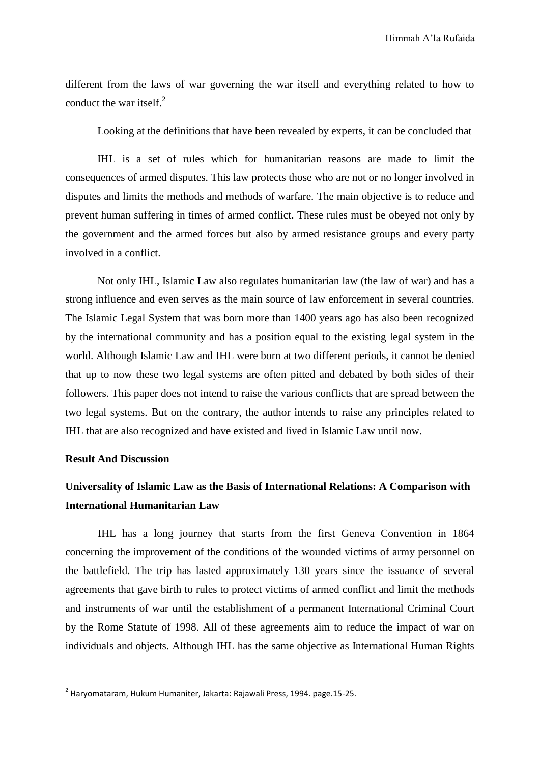different from the laws of war governing the war itself and everything related to how to conduct the war itself. $^{2}$ 

Looking at the definitions that have been revealed by experts, it can be concluded that

IHL is a set of rules which for humanitarian reasons are made to limit the consequences of armed disputes. This law protects those who are not or no longer involved in disputes and limits the methods and methods of warfare. The main objective is to reduce and prevent human suffering in times of armed conflict. These rules must be obeyed not only by the government and the armed forces but also by armed resistance groups and every party involved in a conflict.

Not only IHL, Islamic Law also regulates humanitarian law (the law of war) and has a strong influence and even serves as the main source of law enforcement in several countries. The Islamic Legal System that was born more than 1400 years ago has also been recognized by the international community and has a position equal to the existing legal system in the world. Although Islamic Law and IHL were born at two different periods, it cannot be denied that up to now these two legal systems are often pitted and debated by both sides of their followers. This paper does not intend to raise the various conflicts that are spread between the two legal systems. But on the contrary, the author intends to raise any principles related to IHL that are also recognized and have existed and lived in Islamic Law until now.

#### **Result And Discussion**

**.** 

# **Universality of Islamic Law as the Basis of International Relations: A Comparison with International Humanitarian Law**

IHL has a long journey that starts from the first Geneva Convention in 1864 concerning the improvement of the conditions of the wounded victims of army personnel on the battlefield. The trip has lasted approximately 130 years since the issuance of several agreements that gave birth to rules to protect victims of armed conflict and limit the methods and instruments of war until the establishment of a permanent International Criminal Court by the Rome Statute of 1998. All of these agreements aim to reduce the impact of war on individuals and objects. Although IHL has the same objective as International Human Rights

<sup>2</sup> Haryomataram, Hukum Humaniter, Jakarta: Rajawali Press, 1994. page.15-25.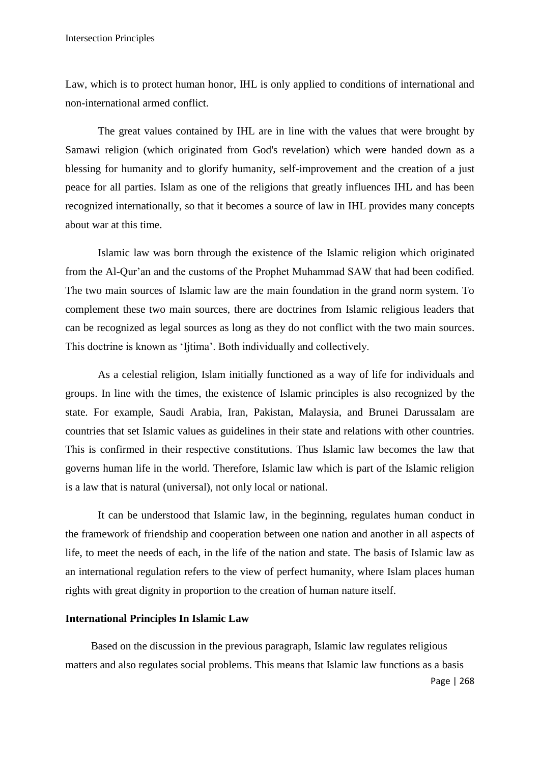Law, which is to protect human honor, IHL is only applied to conditions of international and non-international armed conflict.

The great values contained by IHL are in line with the values that were brought by Samawi religion (which originated from God's revelation) which were handed down as a blessing for humanity and to glorify humanity, self-improvement and the creation of a just peace for all parties. Islam as one of the religions that greatly influences IHL and has been recognized internationally, so that it becomes a source of law in IHL provides many concepts about war at this time.

Islamic law was born through the existence of the Islamic religion which originated from the Al-Qur"an and the customs of the Prophet Muhammad SAW that had been codified. The two main sources of Islamic law are the main foundation in the grand norm system. To complement these two main sources, there are doctrines from Islamic religious leaders that can be recognized as legal sources as long as they do not conflict with the two main sources. This doctrine is known as "Ijtima". Both individually and collectively.

As a celestial religion, Islam initially functioned as a way of life for individuals and groups. In line with the times, the existence of Islamic principles is also recognized by the state. For example, Saudi Arabia, Iran, Pakistan, Malaysia, and Brunei Darussalam are countries that set Islamic values as guidelines in their state and relations with other countries. This is confirmed in their respective constitutions. Thus Islamic law becomes the law that governs human life in the world. Therefore, Islamic law which is part of the Islamic religion is a law that is natural (universal), not only local or national.

It can be understood that Islamic law, in the beginning, regulates human conduct in the framework of friendship and cooperation between one nation and another in all aspects of life, to meet the needs of each, in the life of the nation and state. The basis of Islamic law as an international regulation refers to the view of perfect humanity, where Islam places human rights with great dignity in proportion to the creation of human nature itself.

### **International Principles In Islamic Law**

Based on the discussion in the previous paragraph, Islamic law regulates religious matters and also regulates social problems. This means that Islamic law functions as a basis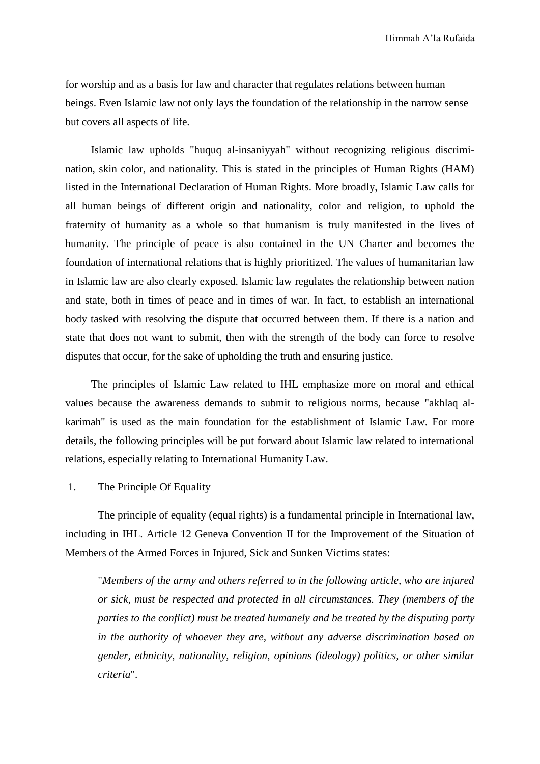for worship and as a basis for law and character that regulates relations between human beings. Even Islamic law not only lays the foundation of the relationship in the narrow sense but covers all aspects of life.

Islamic law upholds "huquq al-insaniyyah" without recognizing religious discrimination, skin color, and nationality. This is stated in the principles of Human Rights (HAM) listed in the International Declaration of Human Rights. More broadly, Islamic Law calls for all human beings of different origin and nationality, color and religion, to uphold the fraternity of humanity as a whole so that humanism is truly manifested in the lives of humanity. The principle of peace is also contained in the UN Charter and becomes the foundation of international relations that is highly prioritized. The values of humanitarian law in Islamic law are also clearly exposed. Islamic law regulates the relationship between nation and state, both in times of peace and in times of war. In fact, to establish an international body tasked with resolving the dispute that occurred between them. If there is a nation and state that does not want to submit, then with the strength of the body can force to resolve disputes that occur, for the sake of upholding the truth and ensuring justice.

The principles of Islamic Law related to IHL emphasize more on moral and ethical values because the awareness demands to submit to religious norms, because "akhlaq alkarimah" is used as the main foundation for the establishment of Islamic Law. For more details, the following principles will be put forward about Islamic law related to international relations, especially relating to International Humanity Law.

1. The Principle Of Equality

The principle of equality (equal rights) is a fundamental principle in International law, including in IHL. Article 12 Geneva Convention II for the Improvement of the Situation of Members of the Armed Forces in Injured, Sick and Sunken Victims states:

"*Members of the army and others referred to in the following article, who are injured or sick, must be respected and protected in all circumstances. They (members of the parties to the conflict) must be treated humanely and be treated by the disputing party in the authority of whoever they are, without any adverse discrimination based on gender, ethnicity, nationality, religion, opinions (ideology) politics, or other similar criteria*".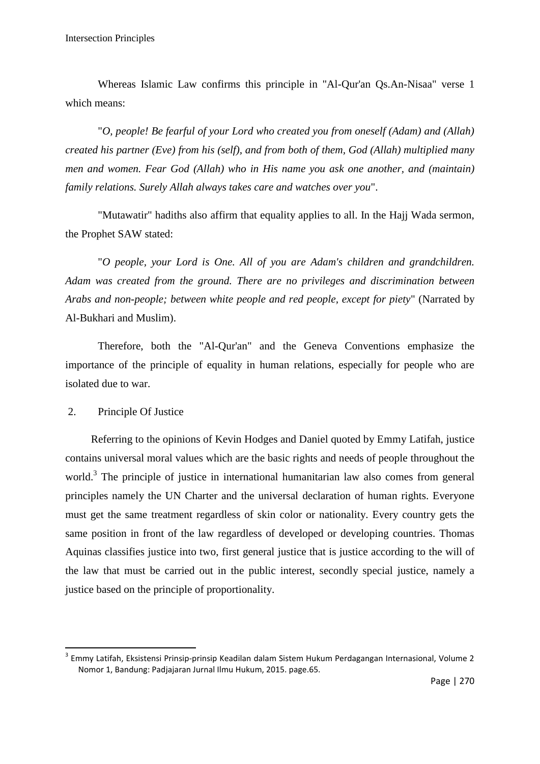Whereas Islamic Law confirms this principle in "Al-Qur'an Qs.An-Nisaa" verse 1 which means:

"*O, people! Be fearful of your Lord who created you from oneself (Adam) and (Allah) created his partner (Eve) from his (self), and from both of them, God (Allah) multiplied many men and women. Fear God (Allah) who in His name you ask one another, and (maintain) family relations. Surely Allah always takes care and watches over you*".

"Mutawatir" hadiths also affirm that equality applies to all. In the Hajj Wada sermon, the Prophet SAW stated:

"*O people, your Lord is One. All of you are Adam's children and grandchildren. Adam was created from the ground. There are no privileges and discrimination between Arabs and non-people; between white people and red people, except for piety*" (Narrated by Al-Bukhari and Muslim).

Therefore, both the "Al-Qur'an" and the Geneva Conventions emphasize the importance of the principle of equality in human relations, especially for people who are isolated due to war.

2. Principle Of Justice

**.** 

Referring to the opinions of Kevin Hodges and Daniel quoted by Emmy Latifah, justice contains universal moral values which are the basic rights and needs of people throughout the world.<sup>3</sup> The principle of justice in international humanitarian law also comes from general principles namely the UN Charter and the universal declaration of human rights. Everyone must get the same treatment regardless of skin color or nationality. Every country gets the same position in front of the law regardless of developed or developing countries. Thomas Aquinas classifies justice into two, first general justice that is justice according to the will of the law that must be carried out in the public interest, secondly special justice, namely a justice based on the principle of proportionality.

<sup>&</sup>lt;sup>3</sup> Emmy Latifah, Eksistensi Prinsip-prinsip Keadilan dalam Sistem Hukum Perdagangan Internasional, Volume 2 Nomor 1, Bandung: Padjajaran Jurnal Ilmu Hukum, 2015. page.65.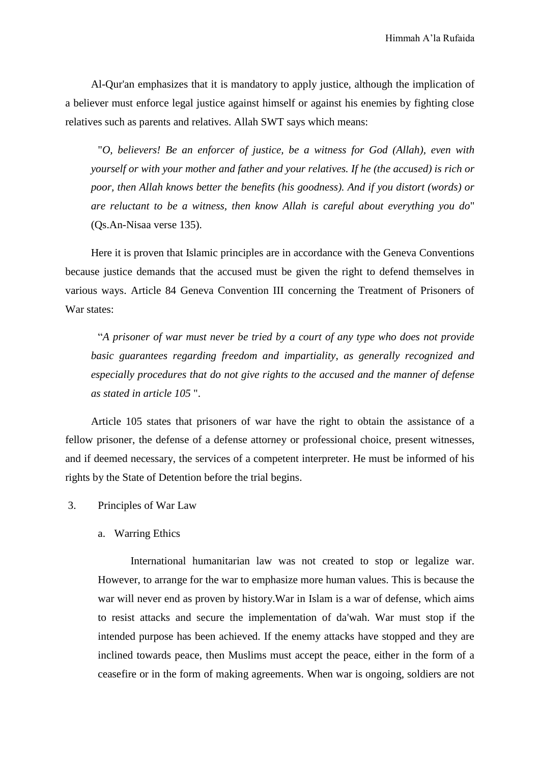Al-Qur'an emphasizes that it is mandatory to apply justice, although the implication of a believer must enforce legal justice against himself or against his enemies by fighting close relatives such as parents and relatives. Allah SWT says which means:

"*O, believers! Be an enforcer of justice, be a witness for God (Allah), even with yourself or with your mother and father and your relatives. If he (the accused) is rich or poor, then Allah knows better the benefits (his goodness). And if you distort (words) or are reluctant to be a witness, then know Allah is careful about everything you do*" (Qs.An-Nisaa verse 135).

Here it is proven that Islamic principles are in accordance with the Geneva Conventions because justice demands that the accused must be given the right to defend themselves in various ways. Article 84 Geneva Convention III concerning the Treatment of Prisoners of War states:

"*A prisoner of war must never be tried by a court of any type who does not provide basic guarantees regarding freedom and impartiality, as generally recognized and especially procedures that do not give rights to the accused and the manner of defense as stated in article 105* ".

Article 105 states that prisoners of war have the right to obtain the assistance of a fellow prisoner, the defense of a defense attorney or professional choice, present witnesses, and if deemed necessary, the services of a competent interpreter. He must be informed of his rights by the State of Detention before the trial begins.

- 3. Principles of War Law
	- a. Warring Ethics

International humanitarian law was not created to stop or legalize war. However, to arrange for the war to emphasize more human values. This is because the war will never end as proven by history.War in Islam is a war of defense, which aims to resist attacks and secure the implementation of da'wah. War must stop if the intended purpose has been achieved. If the enemy attacks have stopped and they are inclined towards peace, then Muslims must accept the peace, either in the form of a ceasefire or in the form of making agreements. When war is ongoing, soldiers are not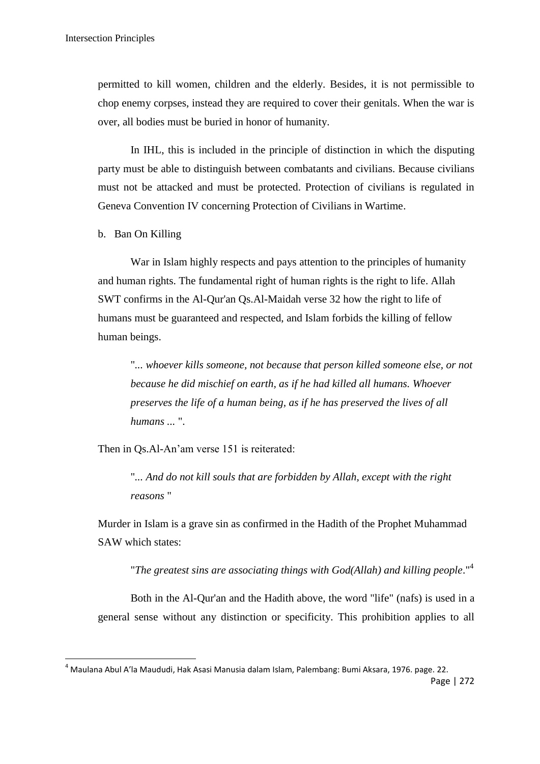permitted to kill women, children and the elderly. Besides, it is not permissible to chop enemy corpses, instead they are required to cover their genitals. When the war is over, all bodies must be buried in honor of humanity.

In IHL, this is included in the principle of distinction in which the disputing party must be able to distinguish between combatants and civilians. Because civilians must not be attacked and must be protected. Protection of civilians is regulated in Geneva Convention IV concerning Protection of Civilians in Wartime.

b. Ban On Killing

**.** 

War in Islam highly respects and pays attention to the principles of humanity and human rights. The fundamental right of human rights is the right to life. Allah SWT confirms in the Al-Qur'an Qs.Al-Maidah verse 32 how the right to life of humans must be guaranteed and respected, and Islam forbids the killing of fellow human beings.

"*... whoever kills someone, not because that person killed someone else, or not because he did mischief on earth, as if he had killed all humans. Whoever preserves the life of a human being, as if he has preserved the lives of all humans ...* ".

Then in Qs.Al-An"am verse 151 is reiterated:

"*... And do not kill souls that are forbidden by Allah, except with the right reasons* "

Murder in Islam is a grave sin as confirmed in the Hadith of the Prophet Muhammad SAW which states:

"*The greatest sins are associating things with God(Allah) and killing people*."<sup>4</sup>

Both in the Al-Qur'an and the Hadith above, the word "life" (nafs) is used in a general sense without any distinction or specificity. This prohibition applies to all

Page | 272 <sup>4</sup> Maulana Abul A'la Maududi, Hak Asasi Manusia dalam Islam, Palembang: Bumi Aksara, 1976. page. 22.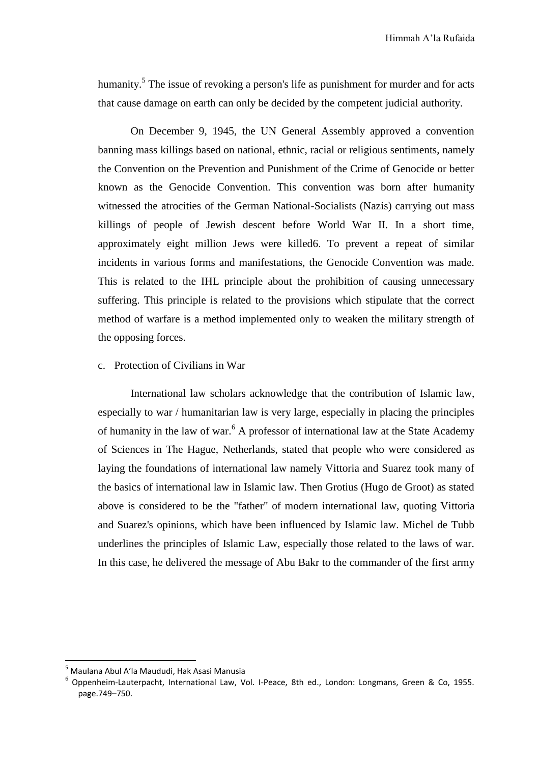humanity.<sup>5</sup> The issue of revoking a person's life as punishment for murder and for acts that cause damage on earth can only be decided by the competent judicial authority.

On December 9, 1945, the UN General Assembly approved a convention banning mass killings based on national, ethnic, racial or religious sentiments, namely the Convention on the Prevention and Punishment of the Crime of Genocide or better known as the Genocide Convention. This convention was born after humanity witnessed the atrocities of the German National-Socialists (Nazis) carrying out mass killings of people of Jewish descent before World War II. In a short time, approximately eight million Jews were killed6. To prevent a repeat of similar incidents in various forms and manifestations, the Genocide Convention was made. This is related to the IHL principle about the prohibition of causing unnecessary suffering. This principle is related to the provisions which stipulate that the correct method of warfare is a method implemented only to weaken the military strength of the opposing forces.

#### c. Protection of Civilians in War

International law scholars acknowledge that the contribution of Islamic law, especially to war / humanitarian law is very large, especially in placing the principles of humanity in the law of war.<sup>6</sup> A professor of international law at the State Academy of Sciences in The Hague, Netherlands, stated that people who were considered as laying the foundations of international law namely Vittoria and Suarez took many of the basics of international law in Islamic law. Then Grotius (Hugo de Groot) as stated above is considered to be the "father" of modern international law, quoting Vittoria and Suarez's opinions, which have been influenced by Islamic law. Michel de Tubb underlines the principles of Islamic Law, especially those related to the laws of war. In this case, he delivered the message of Abu Bakr to the commander of the first army

**.** 

<sup>5</sup> Maulana Abul A'la Maududi, Hak Asasi Manusia

<sup>6</sup> Oppenheim-Lauterpacht, International Law, Vol. I-Peace, 8th ed., London: Longmans, Green & Co, 1955. page.749–750.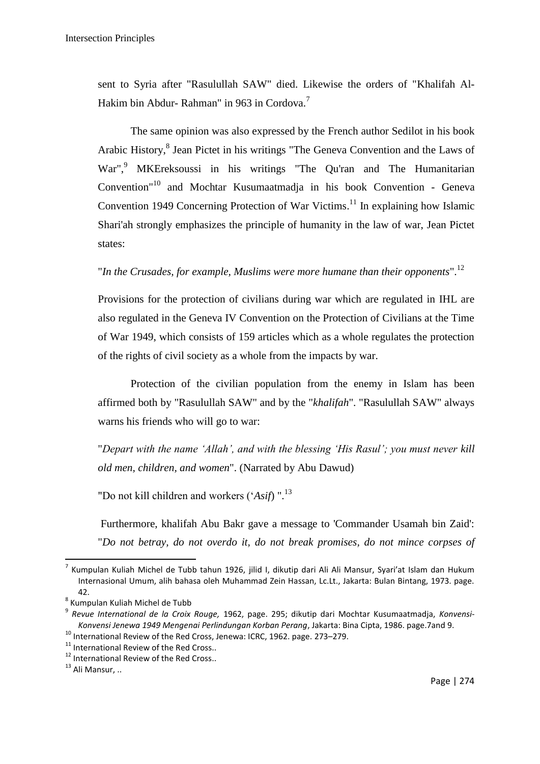sent to Syria after "Rasulullah SAW" died. Likewise the orders of "Khalifah Al-Hakim bin Abdur- Rahman" in 963 in Cordova.<sup>7</sup>

The same opinion was also expressed by the French author Sedilot in his book Arabic History, 8 Jean Pictet in his writings "The Geneva Convention and the Laws of War",<sup>9</sup> MKEreksoussi in his writings "The Qu'ran and The Humanitarian Convention"<sup>10</sup> and Mochtar Kusumaatmadja in his book Convention - Geneva Convention 1949 Concerning Protection of War Victims. <sup>11</sup> In explaining how Islamic Shari'ah strongly emphasizes the principle of humanity in the law of war, Jean Pictet states:

# "*In the Crusades, for example, Muslims were more humane than their opponents*". 12

Provisions for the protection of civilians during war which are regulated in IHL are also regulated in the Geneva IV Convention on the Protection of Civilians at the Time of War 1949, which consists of 159 articles which as a whole regulates the protection of the rights of civil society as a whole from the impacts by war.

Protection of the civilian population from the enemy in Islam has been affirmed both by "Rasulullah SAW" and by the "*khalifah*". "Rasulullah SAW" always warns his friends who will go to war:

"*Depart with the name 'Allah', and with the blessing 'His Rasul'; you must never kill old men, children, and women*". (Narrated by Abu Dawud)

"Do not kill children and workers ("*Asif*) ".<sup>13</sup>

Furthermore, khalifah Abu Bakr gave a message to 'Commander Usamah bin Zaid': "*Do not betray, do not overdo it, do not break promises, do not mince corpses of* 

**.** 

<sup>7</sup> Kumpulan Kuliah Michel de Tubb tahun 1926, jilid I, dikutip dari Ali Ali Mansur, Syari'at Islam dan Hukum Internasional Umum, alih bahasa oleh Muhammad Zein Hassan, Lc.Lt., Jakarta: Bulan Bintang, 1973. page. 42.

<sup>&</sup>lt;sup>8</sup> Kumpulan Kuliah Michel de Tubb

<sup>9</sup> *Revue International de la Croix Rouge,* 1962, page. 295; dikutip dari Mochtar Kusumaatmadja, *Konvensi-Konvensi Jenewa 1949 Mengenai Perlindungan Korban Perang*, Jakarta: Bina Cipta, 1986. page.7and 9.

<sup>10</sup> International Review of the Red Cross, Jenewa: ICRC, 1962. page. 273–279.

<sup>&</sup>lt;sup>11</sup> International Review of the Red Cross..

<sup>&</sup>lt;sup>12</sup> International Review of the Red Cross..

 $^{13}$  Ali Mansur, ..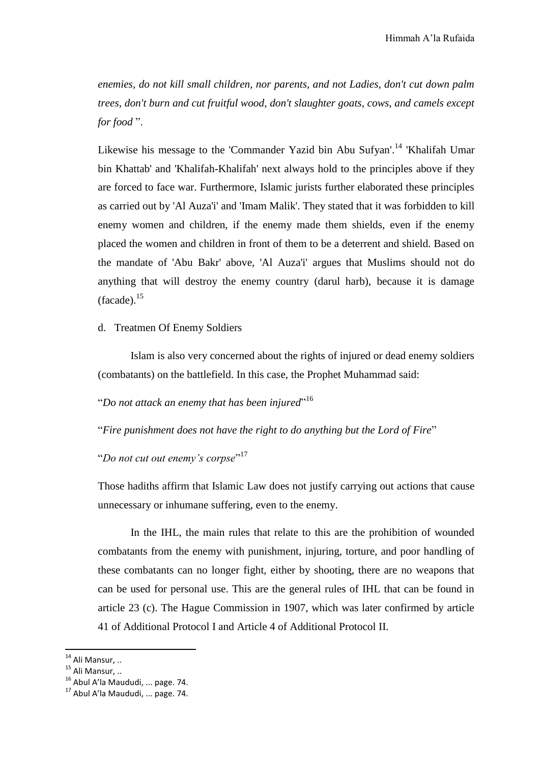*enemies, do not kill small children, nor parents, and not Ladies, don't cut down palm trees, don't burn and cut fruitful wood, don't slaughter goats, cows, and camels except for food* ".

Likewise his message to the 'Commander Yazid bin Abu Sufyan'.<sup>14</sup> 'Khalifah Umar bin Khattab' and 'Khalifah-Khalifah' next always hold to the principles above if they are forced to face war. Furthermore, Islamic jurists further elaborated these principles as carried out by 'Al Auza'i' and 'Imam Malik'. They stated that it was forbidden to kill enemy women and children, if the enemy made them shields, even if the enemy placed the women and children in front of them to be a deterrent and shield. Based on the mandate of 'Abu Bakr' above, 'Al Auza'i' argues that Muslims should not do anything that will destroy the enemy country (darul harb), because it is damage  $(facade).$ <sup>15</sup>

#### d. Treatmen Of Enemy Soldiers

Islam is also very concerned about the rights of injured or dead enemy soldiers (combatants) on the battlefield. In this case, the Prophet Muhammad said:

"*Do not attack an enemy that has been injured*" 16

"*Fire punishment does not have the right to do anything but the Lord of Fire*"

"*Do not cut out enemy's corpse*" 17

Those hadiths affirm that Islamic Law does not justify carrying out actions that cause unnecessary or inhumane suffering, even to the enemy.

In the IHL, the main rules that relate to this are the prohibition of wounded combatants from the enemy with punishment, injuring, torture, and poor handling of these combatants can no longer fight, either by shooting, there are no weapons that can be used for personal use. This are the general rules of IHL that can be found in article 23 (c). The Hague Commission in 1907, which was later confirmed by article 41 of Additional Protocol I and Article 4 of Additional Protocol II.

1

 $14$  Ali Mansur, ..

 $^{15}$  Ali Mansur, ..

<sup>&</sup>lt;sup>16</sup> Abul A'la Maududi, ... page. 74.

<sup>&</sup>lt;sup>17</sup> Abul A'la Maududi, ... page. 74.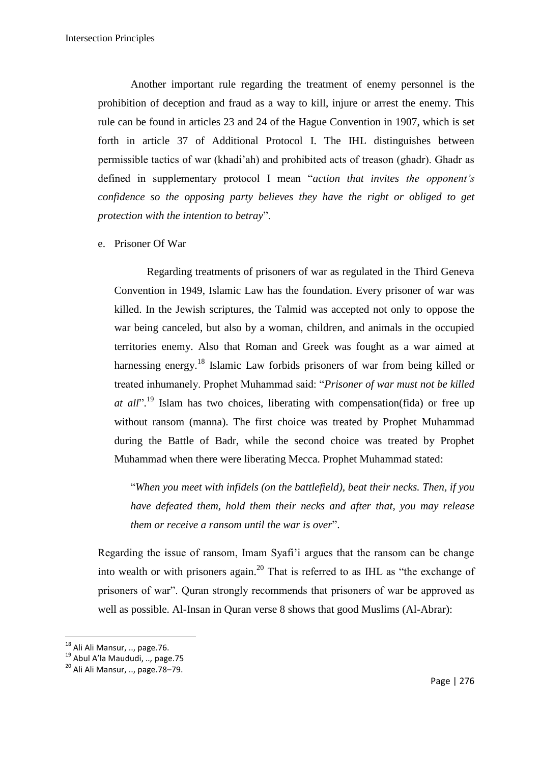Another important rule regarding the treatment of enemy personnel is the prohibition of deception and fraud as a way to kill, injure or arrest the enemy. This rule can be found in articles 23 and 24 of the Hague Convention in 1907, which is set forth in article 37 of Additional Protocol I. The IHL distinguishes between permissible tactics of war (khadi"ah) and prohibited acts of treason (ghadr). Ghadr as defined in supplementary protocol I mean "*action that invites the opponent's confidence so the opposing party believes they have the right or obliged to get protection with the intention to betray*".

e. Prisoner Of War

Regarding treatments of prisoners of war as regulated in the Third Geneva Convention in 1949, Islamic Law has the foundation. Every prisoner of war was killed. In the Jewish scriptures, the Talmid was accepted not only to oppose the war being canceled, but also by a woman, children, and animals in the occupied territories enemy. Also that Roman and Greek was fought as a war aimed at harnessing energy.<sup>18</sup> Islamic Law forbids prisoners of war from being killed or treated inhumanely. Prophet Muhammad said: "*Prisoner of war must not be killed at all*". <sup>19</sup> Islam has two choices, liberating with compensation(fida) or free up without ransom (manna). The first choice was treated by Prophet Muhammad during the Battle of Badr, while the second choice was treated by Prophet Muhammad when there were liberating Mecca. Prophet Muhammad stated:

"*When you meet with infidels (on the battlefield), beat their necks. Then, if you have defeated them, hold them their necks and after that, you may release them or receive a ransom until the war is over*".

Regarding the issue of ransom, Imam Syafi"i argues that the ransom can be change into wealth or with prisoners again.<sup>20</sup> That is referred to as IHL as "the exchange of prisoners of war". Quran strongly recommends that prisoners of war be approved as well as possible. Al-Insan in Quran verse 8 shows that good Muslims (Al-Abrar):

**.** 

<sup>&</sup>lt;sup>18</sup> Ali Ali Mansur, .., page.76.

<sup>19</sup> Abul A'la Maududi, *..,* page.75

<sup>20</sup> Ali Ali Mansur, .., page.78–79.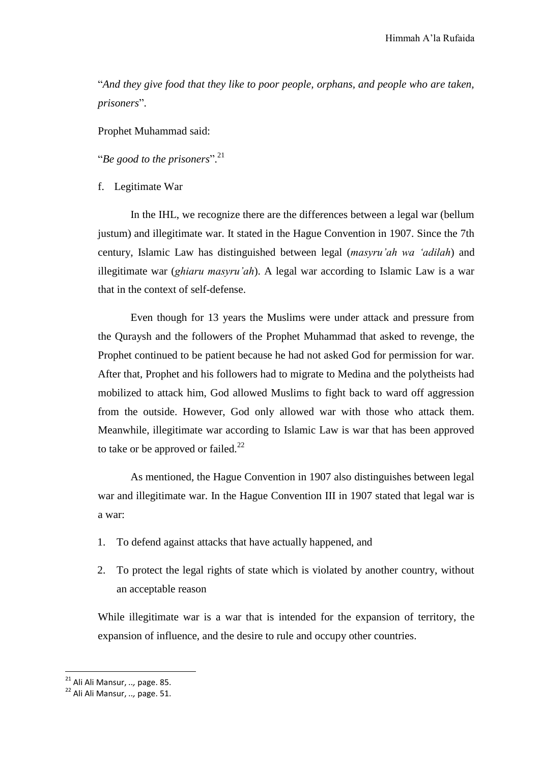"*And they give food that they like to poor people, orphans, and people who are taken, prisoners*".

Prophet Muhammad said:

"*Be good to the prisoners*". 21

f. Legitimate War

In the IHL, we recognize there are the differences between a legal war (bellum justum) and illegitimate war. It stated in the Hague Convention in 1907. Since the 7th century, Islamic Law has distinguished between legal (*masyru'ah wa 'adilah*) and illegitimate war (*ghiaru masyru'ah*). A legal war according to Islamic Law is a war that in the context of self-defense.

Even though for 13 years the Muslims were under attack and pressure from the Quraysh and the followers of the Prophet Muhammad that asked to revenge, the Prophet continued to be patient because he had not asked God for permission for war. After that, Prophet and his followers had to migrate to Medina and the polytheists had mobilized to attack him, God allowed Muslims to fight back to ward off aggression from the outside. However, God only allowed war with those who attack them. Meanwhile, illegitimate war according to Islamic Law is war that has been approved to take or be approved or failed.<sup>22</sup>

As mentioned, the Hague Convention in 1907 also distinguishes between legal war and illegitimate war. In the Hague Convention III in 1907 stated that legal war is a war:

- 1. To defend against attacks that have actually happened, and
- 2. To protect the legal rights of state which is violated by another country, without an acceptable reason

While illegitimate war is a war that is intended for the expansion of territory, the expansion of influence, and the desire to rule and occupy other countries.

 $\overline{a}$ 

<sup>21</sup> Ali Ali Mansur, *..,* page. 85.

<sup>22</sup> Ali Ali Mansur, *..,* page. 51.